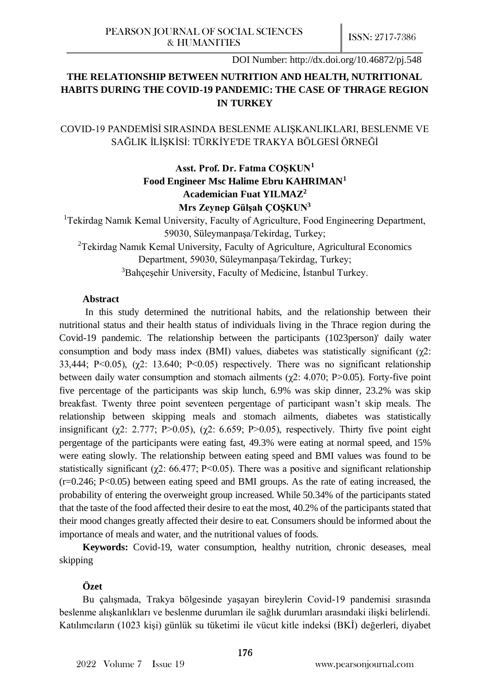# **THE RELATIONSHIP BETWEEN NUTRITION AND HEALTH, NUTRITIONAL HABITS DURING THE COVID-19 PANDEMIC: THE CASE OF THRAGE REGION IN TURKEY**

COVID-19 PANDEMİSİ SIRASINDA BESLENME ALIŞKANLIKLARI, BESLENME VE SAĞLIK İLİŞKİSİ: TÜRKİYE'DE TRAKYA BÖLGESİ ÖRNEĞİ

# **Asst. Prof. Dr. Fatma COŞKUN<sup>1</sup> Food Engineer Msc Halime Ebru KAHRIMAN<sup>1</sup> Academician Fuat YILMAZ<sup>2</sup> Mrs Zeynep Gülşah ÇOŞKUN<sup>3</sup>**

<sup>1</sup>Tekirdag Namik Kemal University, Faculty of Agriculture, Food Engineering Department, 59030, Süleymanpaşa/Tekirdag, Turkey;

<sup>2</sup>Tekirdag Namık Kemal University, Faculty of Agriculture, Agricultural Economics Department, 59030, Süleymanpaşa/Tekirdag, Turkey;

<sup>3</sup>Bahçeşehir University, Faculty of Medicine, İstanbul Turkey.

## **Abstract**

In this study determined the nutritional habits, and the relationship between their nutritional status and their health status of individuals living in the Thrace region during the Covid-19 pandemic. The relationship between the participants (1023person)' daily water consumption and body mass index (BMI) values, diabetes was statistically significant ( $\chi$ 2: 33,444; P<0.05),  $(\gamma 2: 13.640; P<0.05)$  respectively. There was no significant relationship between daily water consumption and stomach ailments ( $\chi$ 2: 4.070; P>0.05). Forty-five point five percentage of the participants was skip lunch, 6.9% was skip dinner, 23.2% was skip breakfast. Twenty three point seventeen pergentage of participant wasn't skip meals. The relationship between skipping meals and stomach ailments, diabetes was statistically insignificant ( $\chi$ 2: 2.777; P>0.05), ( $\chi$ 2: 6.659; P>0.05), respectively. Thirty five point eight pergentage of the participants were eating fast, 49.3% were eating at normal speed, and 15% were eating slowly. The relationship between eating speed and BMI values was found to be statistically significant ( $\chi$ 2: 66.477; P<0.05). There was a positive and significant relationship  $(r=0.246; P<0.05)$  between eating speed and BMI groups. As the rate of eating increased, the probability of entering the overweight group increased. While 50.34% of the participants stated that the taste of the food affected their desire to eat the most, 40.2% of the participants stated that their mood changes greatly affected their desire to eat. Consumers should be informed about the importance of meals and water, and the nutritional values of foods.

**Keywords:** Covid-19, water consumption, healthy nutrition, chronic deseases, meal skipping

# **Özet**

Bu çalışmada, Trakya bölgesinde yaşayan bireylerin Covid-19 pandemisi sırasında beslenme alışkanlıkları ve beslenme durumları ile sağlık durumları arasındaki ilişki belirlendi. Katılımcıların (1023 kişi) günlük su tüketimi ile vücut kitle indeksi (BKİ) değerleri, diyabet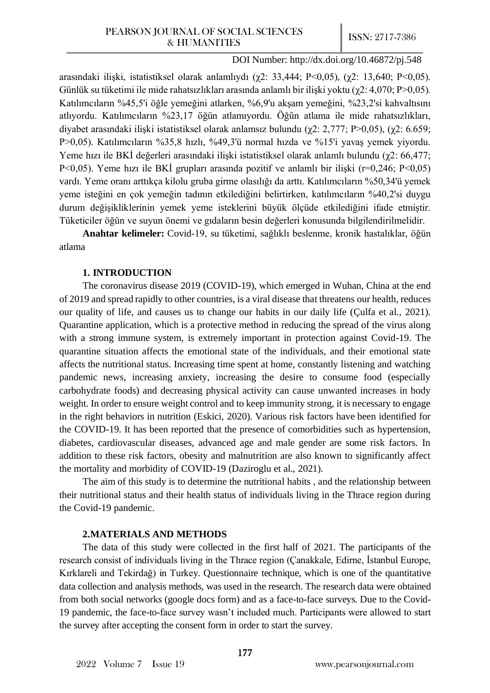arasındaki ilişki, istatistiksel olarak anlamlıydı (χ2: 33,444; P<0,05), (χ2: 13,640; P<0,05). Günlük su tüketimi ile mide rahatsızlıkları arasında anlamlı bir ilişki yoktu ( $\gamma$ 2: 4,070; P>0,05). Katılımcıların %45,5'i öğle yemeğini atlarken, %6,9'u akşam yemeğini, %23,2'si kahvaltısını atlıyordu. Katılımcıların %23,17 öğün atlamıyordu. Öğün atlama ile mide rahatsızlıkları, diyabet arasındaki ilişki istatistiksel olarak anlamsız bulundu (χ2: 2,777; P>0,05), (χ2: 6.659; P>0,05). Katılımcıların %35,8 hızlı, %49,3'ü normal hızda ve %15'i yavaş yemek yiyordu. Yeme hızı ile BKİ değerleri arasındaki ilişki istatistiksel olarak anlamlı bulundu (χ2: 66,477; P<0,05). Yeme hızı ile BKİ grupları arasında pozitif ve anlamlı bir ilişki (r=0,246; P<0,05) vardı. Yeme oranı arttıkça kilolu gruba girme olasılığı da arttı. Katılımcıların %50,34'ü yemek yeme isteğini en çok yemeğin tadının etkilediğini belirtirken, katılımcıların %40,2'si duygu durum değişikliklerinin yemek yeme isteklerini büyük ölçüde etkilediğini ifade etmiştir. Tüketiciler öğün ve suyun önemi ve gıdaların besin değerleri konusunda bilgilendirilmelidir.

**Anahtar kelimeler:** Covid-19, su tüketimi, sağlıklı beslenme, kronik hastalıklar, öğün atlama

## **1. INTRODUCTION**

The coronavirus disease 2019 (COVID-19), which emerged in Wuhan, China at the end of 2019 and spread rapidly to other countries, is a viral disease that threatens our health, reduces our quality of life, and causes us to change our habits in our daily life (Çulfa et al., 2021). Quarantine application, which is a protective method in reducing the spread of the virus along with a strong immune system, is extremely important in protection against Covid-19. The quarantine situation affects the emotional state of the individuals, and their emotional state affects the nutritional status. Increasing time spent at home, constantly listening and watching pandemic news, increasing anxiety, increasing the desire to consume food (especially carbohydrate foods) and decreasing physical activity can cause unwanted increases in body weight. In order to ensure weight control and to keep immunity strong, it is necessary to engage in the right behaviors in nutrition (Eskici, 2020). Various risk factors have been identified for the COVID-19. It has been reported that the presence of comorbidities such as hypertension, diabetes, cardiovascular diseases, advanced age and male gender are some risk factors. In addition to these risk factors, obesity and malnutrition are also known to significantly affect the mortality and morbidity of COVID-19 (Daziroglu et al., 2021).

The aim of this study is to determine the nutritional habits , and the relationship between their nutritional status and their health status of individuals living in the Thrace region during the Covid-19 pandemic.

# **2.MATERIALS AND METHODS**

The data of this study were collected in the first half of 2021. The participants of the research consist of individuals living in the Thrace region (Çanakkale, Edirne, İstanbul Europe, Kırklareli and Tekirdağ) in Turkey. Questionnaire technique, which is one of the quantitative data collection and analysis methods, was used in the research. The research data were obtained from both social networks (google docs form) and as a face-to-face surveys. Due to the Covid-19 pandemic, the face-to-face survey wasn't included much. Participants were allowed to start the survey after accepting the consent form in order to start the survey.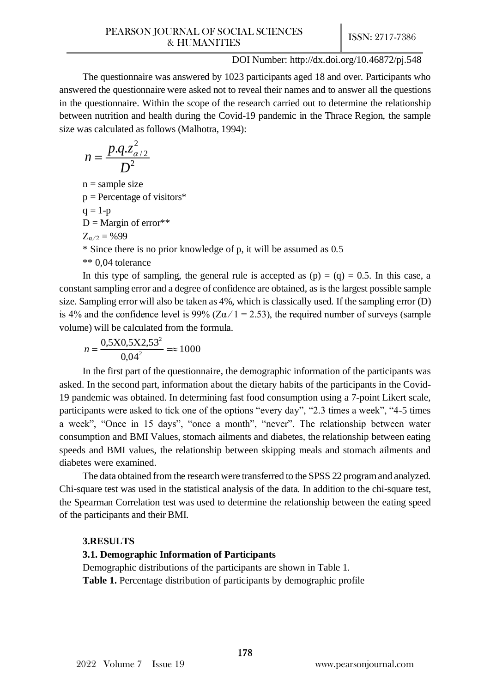The questionnaire was answered by 1023 participants aged 18 and over. Participants who answered the questionnaire were asked not to reveal their names and to answer all the questions in the questionnaire. Within the scope of the research carried out to determine the relationship between nutrition and health during the Covid-19 pandemic in the Thrace Region, the sample size was calculated as follows (Malhotra, 1994):

$$
n=\frac{p.q.z_{\alpha/2}^2}{D^2}
$$

 $n =$ sample size

 $p =$  Percentage of visitors\*

$$
q=1-p
$$

 $D =$ Margin of error\*\*

 $Z_{\alpha/2} = %99$ 

\* Since there is no prior knowledge of p, it will be assumed as 0.5

\*\* 0,04 tolerance

In this type of sampling, the general rule is accepted as  $(p) = (q) = 0.5$ . In this case, a constant sampling error and a degree of confidence are obtained, as is the largest possible sample size. Sampling error will also be taken as 4%, which is classically used. If the sampling error (D) is 4% and the confidence level is 99% ( $Z\alpha/1 = 2.53$ ), the required number of surveys (sample volume) will be calculated from the formula.

$$
n = \frac{0,5X0,5X2,53^2}{0,04^2} \approx 1000
$$

In the first part of the questionnaire, the demographic information of the participants was asked. In the second part, information about the dietary habits of the participants in the Covid-19 pandemic was obtained. In determining fast food consumption using a 7-point Likert scale, participants were asked to tick one of the options "every day", "2.3 times a week", "4-5 times a week", "Once in 15 days", "once a month", "never". The relationship between water consumption and BMI Values, stomach ailments and diabetes, the relationship between eating speeds and BMI values, the relationship between skipping meals and stomach ailments and diabetes were examined.

The data obtained from the research were transferred to the SPSS 22 program and analyzed. Chi-square test was used in the statistical analysis of the data. In addition to the chi-square test, the Spearman Correlation test was used to determine the relationship between the eating speed of the participants and their BMI.

# **3.RESULTS**

# **3.1. Demographic Information of Participants**

Demographic distributions of the participants are shown in Table 1. **Table 1.** Percentage distribution of participants by demographic profile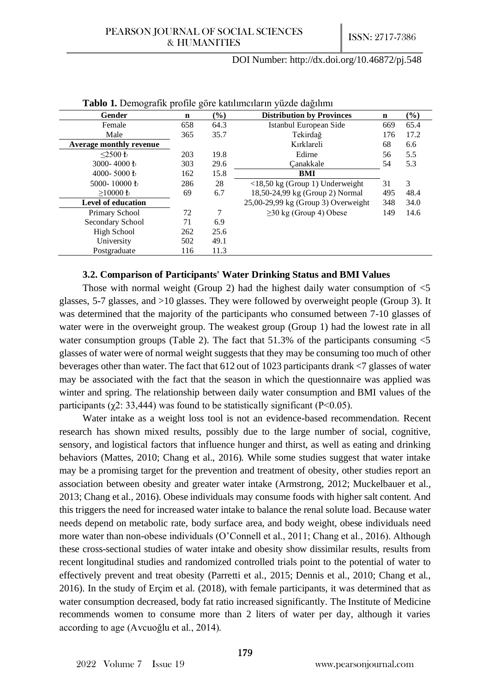| <b>Table 1.</b> Demografik prome gore Kammienarin yazae dagmini |             |        |                                                   |             |        |  |  |  |  |
|-----------------------------------------------------------------|-------------|--------|---------------------------------------------------|-------------|--------|--|--|--|--|
| Gender                                                          | $\mathbf n$ | $(\%)$ | <b>Distribution by Provinces</b>                  | $\mathbf n$ | $(\%)$ |  |  |  |  |
| Female                                                          | 658         | 64.3   | Istanbul European Side                            | 669         | 65.4   |  |  |  |  |
| Male                                                            | 365         | 35.7   | Tekirdağ                                          | 176         | 17.2   |  |  |  |  |
| <b>Average monthly revenue</b>                                  |             |        | Kırklareli                                        | 68          | 6.6    |  |  |  |  |
| $\leq$ 2500 t                                                   | 203         | 19.8   | Edirne                                            | 56          | 5.5    |  |  |  |  |
| 3000-4000 $\,\mathrm{E}$                                        | 303         | 29.6   | Canakkale                                         | 54          | 5.3    |  |  |  |  |
| 4000-5000 $\text{t}$                                            | 162         | 15.8   | BMI                                               |             |        |  |  |  |  |
| 5000-10000 $\text{\textsterling}$                               | 286         | 28     | $\langle 18, 50 \text{ kg}$ (Group 1) Underweight | 31          | 3      |  |  |  |  |
| $>10000 \text{ }$                                               | 69          | 6.7    | 18,50-24,99 kg (Group 2) Normal                   | 495         | 48.4   |  |  |  |  |
| <b>Level of education</b>                                       |             |        | $25,00-29,99$ kg (Group 3) Overweight             | 348         | 34.0   |  |  |  |  |
| Primary School                                                  | 72          | 7      | $\geq$ 30 kg (Group 4) Obese                      | 149         | 14.6   |  |  |  |  |
| Secondary School                                                | 71          | 6.9    |                                                   |             |        |  |  |  |  |
| High School                                                     | 262         | 25.6   |                                                   |             |        |  |  |  |  |
| University                                                      | 502         | 49.1   |                                                   |             |        |  |  |  |  |
| Postgraduate                                                    | 116         | 11.3   |                                                   |             |        |  |  |  |  |

#### **Tablo 1.** Demografik profile göre katılımcıların yüzde dağılımı

#### **3.2. Comparison of Participants' Water Drinking Status and BMI Values**

Those with normal weight (Group 2) had the highest daily water consumption of  $\leq 5$ glasses, 5-7 glasses, and >10 glasses. They were followed by overweight people (Group 3). It was determined that the majority of the participants who consumed between 7-10 glasses of water were in the overweight group. The weakest group (Group 1) had the lowest rate in all water consumption groups (Table 2). The fact that  $51.3\%$  of the participants consuming  $\leq 5$ glasses of water were of normal weight suggests that they may be consuming too much of other beverages other than water. The fact that 612 out of 1023 participants drank <7 glasses of water may be associated with the fact that the season in which the questionnaire was applied was winter and spring. The relationship between daily water consumption and BMI values of the participants ( $χ$ 2: 33,444) was found to be statistically significant ( $P$  < 0.05).

Water intake as a weight loss tool is not an evidence-based recommendation. Recent research has shown mixed results, possibly due to the large number of social, cognitive, sensory, and logistical factors that influence hunger and thirst, as well as eating and drinking behaviors (Mattes, 2010; Chang et al., 2016). While some studies suggest that water intake may be a promising target for the prevention and treatment of obesity, other studies report an association between obesity and greater water intake (Armstrong, 2012; Muckelbauer et al., 2013; Chang et al., 2016). Obese individuals may consume foods with higher salt content. And this triggers the need for increased water intake to balance the renal solute load. Because water needs depend on metabolic rate, body surface area, and body weight, obese individuals need more water than non-obese individuals (O'Connell et al., 2011; Chang et al., 2016). Although these cross-sectional studies of water intake and obesity show dissimilar results, results from recent longitudinal studies and randomized controlled trials point to the potential of water to effectively prevent and treat obesity (Parretti et al., 2015; Dennis et al., 2010; Chang et al., 2016). In the study of Erçim et al. (2018), with female participants, it was determined that as water consumption decreased, body fat ratio increased significantly. The Institute of Medicine recommends women to consume more than 2 liters of water per day, although it varies according to age (Avcuoğlu et al., 2014).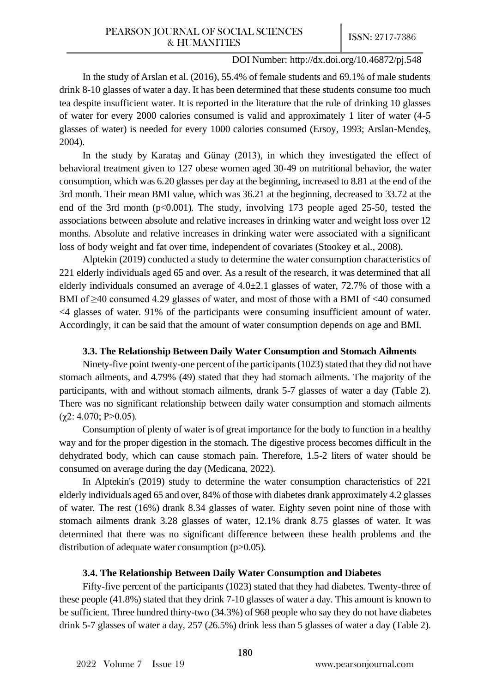In the study of Arslan et al. (2016), 55.4% of female students and 69.1% of male students drink 8-10 glasses of water a day. It has been determined that these students consume too much tea despite insufficient water. It is reported in the literature that the rule of drinking 10 glasses of water for every 2000 calories consumed is valid and approximately 1 liter of water (4-5 glasses of water) is needed for every 1000 calories consumed (Ersoy, 1993; Arslan-Mendeş, 2004).

In the study by Karataş and Günay (2013), in which they investigated the effect of behavioral treatment given to 127 obese women aged 30-49 on nutritional behavior, the water consumption, which was 6.20 glasses per day at the beginning, increased to 8.81 at the end of the 3rd month. Their mean BMI value, which was 36.21 at the beginning, decreased to 33.72 at the end of the 3rd month (p<0.001). The study, involving 173 people aged 25-50, tested the associations between absolute and relative increases in drinking water and weight loss over 12 months. Absolute and relative increases in drinking water were associated with a significant loss of body weight and fat over time, independent of covariates (Stookey et al., 2008).

Alptekin (2019) conducted a study to determine the water consumption characteristics of 221 elderly individuals aged 65 and over. As a result of the research, it was determined that all elderly individuals consumed an average of  $4.0\pm2.1$  glasses of water, 72.7% of those with a BMI of ≥40 consumed 4.29 glasses of water, and most of those with a BMI of <40 consumed <4 glasses of water. 91% of the participants were consuming insufficient amount of water. Accordingly, it can be said that the amount of water consumption depends on age and BMI.

## **3.3. The Relationship Between Daily Water Consumption and Stomach Ailments**

Ninety-five point twenty-one percent of the participants (1023) stated that they did not have stomach ailments, and 4.79% (49) stated that they had stomach ailments. The majority of the participants, with and without stomach ailments, drank 5-7 glasses of water a day (Table 2). There was no significant relationship between daily water consumption and stomach ailments  $(\chi$ 2: 4.070; P>0.05).

Consumption of plenty of water is of great importance for the body to function in a healthy way and for the proper digestion in the stomach. The digestive process becomes difficult in the dehydrated body, which can cause stomach pain. Therefore, 1.5-2 liters of water should be consumed on average during the day (Medicana, 2022).

In Alptekin's (2019) study to determine the water consumption characteristics of 221 elderly individuals aged 65 and over, 84% of those with diabetes drank approximately 4.2 glasses of water. The rest (16%) drank 8.34 glasses of water. Eighty seven point nine of those with stomach ailments drank 3.28 glasses of water, 12.1% drank 8.75 glasses of water. It was determined that there was no significant difference between these health problems and the distribution of adequate water consumption (p>0.05).

# **3.4. The Relationship Between Daily Water Consumption and Diabetes**

Fifty-five percent of the participants (1023) stated that they had diabetes. Twenty-three of these people (41.8%) stated that they drink 7-10 glasses of water a day. This amount is known to be sufficient. Three hundred thirty-two (34.3%) of 968 people who say they do not have diabetes drink 5-7 glasses of water a day, 257 (26.5%) drink less than 5 glasses of water a day (Table 2).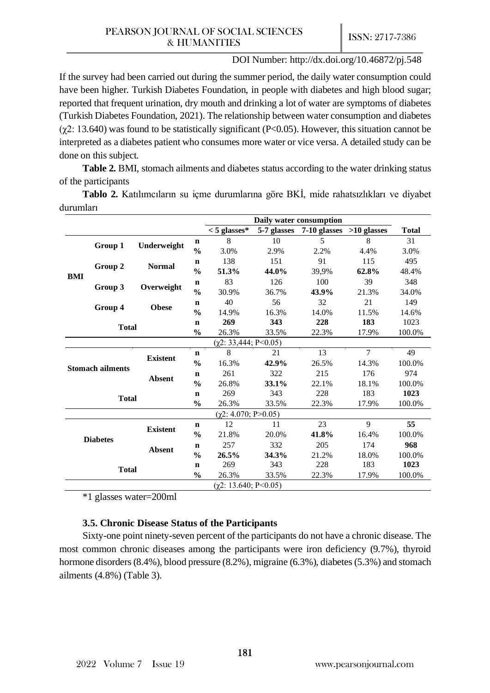If the survey had been carried out during the summer period, the daily water consumption could have been higher. Turkish Diabetes Foundation, in people with diabetes and high blood sugar; reported that frequent urination, dry mouth and drinking a lot of water are symptoms of diabetes (Turkish Diabetes Foundation, 2021). The relationship between water consumption and diabetes  $(\gamma 2: 13.640)$  was found to be statistically significant (P<0.05). However, this situation cannot be interpreted as a diabetes patient who consumes more water or vice versa. A detailed study can be done on this subject.

**Table 2.** BMI, stomach ailments and diabetes status according to the water drinking status of the participants

**Tablo 2.** Katılımcıların su içme durumlarına göre BKİ, mide rahatsızlıkları ve diyabet durumları

|                         |         |                 |               | Daily water consumption    |             |              |                |              |
|-------------------------|---------|-----------------|---------------|----------------------------|-------------|--------------|----------------|--------------|
|                         |         |                 |               | $< 5$ glasses*             | 5-7 glasses | 7-10 glasses | $>10$ glasses  | <b>Total</b> |
|                         |         | Underweight     | $\mathbf n$   | 8                          | 10          | 5            | 8              | 31           |
|                         | Group 1 |                 | $\frac{0}{0}$ | 3.0%                       | 2.9%        | 2.2%         | 4.4%           | 3.0%         |
|                         |         |                 | $\mathbf n$   | 138                        | 151         | 91           | 115            | 495          |
| <b>BMI</b>              | Group 2 | <b>Normal</b>   | $\frac{0}{0}$ | 51.3%                      | 44.0%       | 39,9%        | 62.8%          | 48.4%        |
|                         |         |                 | $\mathbf n$   | 83                         | 126         | 100          | 39             | 348          |
|                         | Group 3 | Overweight      | $\frac{0}{0}$ | 30.9%                      | 36.7%       | 43.9%        | 21.3%          | 34.0%        |
|                         |         |                 | $\mathbf n$   | 40                         | 56          | 32           | 21             | 149          |
|                         | Group 4 | <b>Obese</b>    | $\frac{0}{0}$ | 14.9%                      | 16.3%       | 14.0%        | 11.5%          | 14.6%        |
| <b>Total</b>            |         | $\mathbf n$     | 269           | 343                        | 228         | 183          | 1023           |              |
|                         |         |                 | $\frac{0}{0}$ | 26.3%                      | 33.5%       | 22.3%        | 17.9%          | 100.0%       |
|                         |         |                 |               | $(\chi2: 33,444; P<0.05)$  |             |              |                |              |
|                         |         | <b>Existent</b> | $\mathbf n$   | 8                          | 21          | 13           | $\overline{7}$ | 49           |
| <b>Stomach ailments</b> |         |                 | $\frac{0}{0}$ | 16.3%                      | 42.9%       | 26.5%        | 14.3%          | 100.0%       |
|                         |         | <b>Absent</b>   | $\mathbf n$   | 261                        | 322         | 215          | 176            | 974          |
|                         |         |                 | $\frac{0}{0}$ | 26.8%                      | 33.1%       | 22.1%        | 18.1%          | 100.0%       |
| <b>Total</b>            |         | $\mathbf n$     | 269           | 343                        | 228         | 183          | 1023           |              |
|                         |         | $\frac{0}{0}$   | 26.3%         | 33.5%                      | 22.3%       | 17.9%        | 100.0%         |              |
|                         |         |                 |               | $(\chi2: 4.070; P>0.05)$   |             |              |                |              |
|                         |         | <b>Existent</b> | $\mathbf n$   | 12                         | 11          | 23           | 9              | 55           |
| <b>Diabetes</b>         |         |                 | $\frac{1}{2}$ | 21.8%                      | 20.0%       | 41.8%        | 16.4%          | 100.0%       |
|                         |         | Absent          | $\mathbf n$   | 257                        | 332         | 205          | 174            | 968          |
|                         |         |                 | $\frac{6}{9}$ | 26.5%                      | 34.3%       | 21.2%        | 18.0%          | 100.0%       |
| <b>Total</b>            |         | $\mathbf n$     | 269           | 343                        | 228         | 183          | 1023           |              |
|                         |         | $\frac{0}{0}$   | 26.3%         | 33.5%                      | 22.3%       | 17.9%        | 100.0%         |              |
|                         |         |                 |               | $(\chi 2: 13.640; P<0.05)$ |             |              |                |              |

\*1 glasses water=200ml

## **3.5. Chronic Disease Status of the Participants**

Sixty-one point ninety-seven percent of the participants do not have a chronic disease. The most common chronic diseases among the participants were iron deficiency (9.7%), thyroid hormone disorders (8.4%), blood pressure (8.2%), migraine (6.3%), diabetes (5.3%) and stomach ailments (4.8%) (Table 3).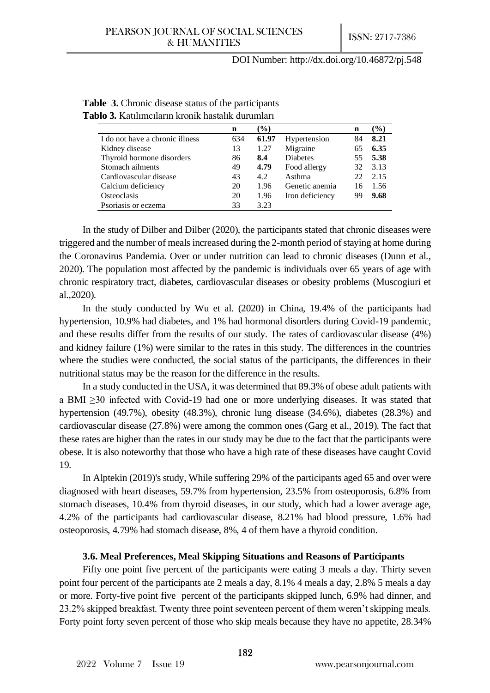|                                 | n   | $($ %) |                 | n  | $(\%)$ |
|---------------------------------|-----|--------|-----------------|----|--------|
| I do not have a chronic illness | 634 | 61.97  | Hypertension    | 84 | 8.21   |
| Kidney disease                  | 13  | 1.27   | Migraine        | 65 | 6.35   |
| Thyroid hormone disorders       | 86  | 8.4    | <b>Diabetes</b> | 55 | 5.38   |
| Stomach ailments                | 49  | 4.79   | Food allergy    | 32 | 3.13   |
| Cardiovascular disease          | 43  | 4.2    | Asthma          | 22 | 2.15   |
| Calcium deficiency              | 20  | 1.96   | Genetic anemia  | 16 | 1.56   |
| Osteoclasis                     | 20  | 1.96   | Iron deficiency | 99 | 9.68   |
| Psoriasis or eczema             | 33  | 3.23   |                 |    |        |

| <b>Table 3.</b> Chronic disease status of the participants |
|------------------------------------------------------------|
| Tablo 3. Katılımcıların kronik hastalık durumları          |

In the study of Dilber and Dilber (2020), the participants stated that chronic diseases were triggered and the number of meals increased during the 2-month period of staying at home during the Coronavirus Pandemia. Over or under nutrition can lead to chronic diseases (Dunn et al., 2020). The population most affected by the pandemic is individuals over 65 years of age with chronic respiratory tract, diabetes, cardiovascular diseases or obesity problems (Muscogiuri et al.,2020).

In the study conducted by Wu et al. (2020) in China, 19.4% of the participants had hypertension, 10.9% had diabetes, and 1% had hormonal disorders during Covid-19 pandemic, and these results differ from the results of our study. The rates of cardiovascular disease (4%) and kidney failure (1%) were similar to the rates in this study. The differences in the countries where the studies were conducted, the social status of the participants, the differences in their nutritional status may be the reason for the difference in the results.

In a study conducted in the USA, it was determined that 89.3% of obese adult patients with a BMI ≥30 infected with Covid-19 had one or more underlying diseases. It was stated that hypertension (49.7%), obesity (48.3%), chronic lung disease (34.6%), diabetes (28.3%) and cardiovascular disease (27.8%) were among the common ones (Garg et al., 2019). The fact that these rates are higher than the rates in our study may be due to the fact that the participants were obese. It is also noteworthy that those who have a high rate of these diseases have caught Covid 19.

In Alptekin (2019)'s study, While suffering 29% of the participants aged 65 and over were diagnosed with heart diseases, 59.7% from hypertension, 23.5% from osteoporosis, 6.8% from stomach diseases, 10.4% from thyroid diseases, in our study, which had a lower average age, 4.2% of the participants had cardiovascular disease, 8.21% had blood pressure, 1.6% had osteoporosis, 4.79% had stomach disease, 8%, 4 of them have a thyroid condition.

#### **3.6. Meal Preferences, Meal Skipping Situations and Reasons of Participants**

Fifty one point five percent of the participants were eating 3 meals a day. Thirty seven point four percent of the participants ate 2 meals a day, 8.1% 4 meals a day, 2.8% 5 meals a day or more. Forty-five point five percent of the participants skipped lunch, 6.9% had dinner, and 23.2% skipped breakfast. Twenty three point seventeen percent of them weren't skipping meals. Forty point forty seven percent of those who skip meals because they have no appetite, 28.34%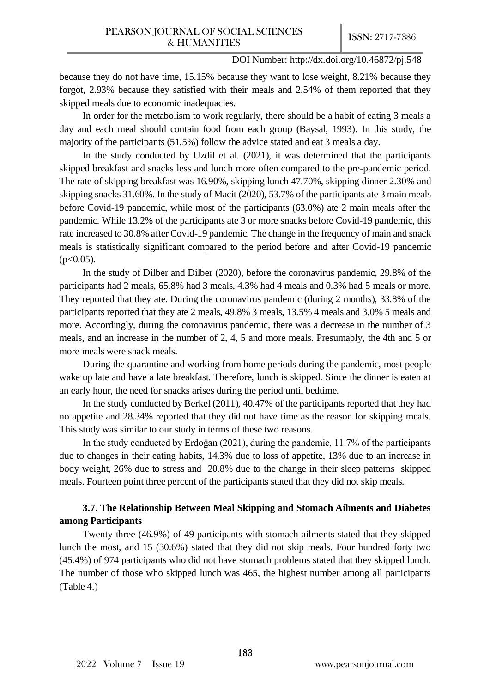because they do not have time, 15.15% because they want to lose weight, 8.21% because they forgot, 2.93% because they satisfied with their meals and 2.54% of them reported that they skipped meals due to economic inadequacies.

In order for the metabolism to work regularly, there should be a habit of eating 3 meals a day and each meal should contain food from each group (Baysal, 1993). In this study, the majority of the participants (51.5%) follow the advice stated and eat 3 meals a day.

In the study conducted by Uzdil et al. (2021), it was determined that the participants skipped breakfast and snacks less and lunch more often compared to the pre-pandemic period. The rate of skipping breakfast was 16.90%, skipping lunch 47.70%, skipping dinner 2.30% and skipping snacks 31.60%. In the study of Macit (2020), 53.7% of the participants ate 3 main meals before Covid-19 pandemic, while most of the participants (63.0%) ate 2 main meals after the pandemic. While 13.2% of the participants ate 3 or more snacks before Covid-19 pandemic, this rate increased to 30.8% after Covid-19 pandemic. The change in the frequency of main and snack meals is statistically significant compared to the period before and after Covid-19 pandemic  $(p<0.05)$ .

In the study of Dilber and Dilber (2020), before the coronavirus pandemic, 29.8% of the participants had 2 meals, 65.8% had 3 meals, 4.3% had 4 meals and 0.3% had 5 meals or more. They reported that they ate. During the coronavirus pandemic (during 2 months), 33.8% of the participants reported that they ate 2 meals, 49.8% 3 meals, 13.5% 4 meals and 3.0% 5 meals and more. Accordingly, during the coronavirus pandemic, there was a decrease in the number of 3 meals, and an increase in the number of 2, 4, 5 and more meals. Presumably, the 4th and 5 or more meals were snack meals.

During the quarantine and working from home periods during the pandemic, most people wake up late and have a late breakfast. Therefore, lunch is skipped. Since the dinner is eaten at an early hour, the need for snacks arises during the period until bedtime.

In the study conducted by Berkel (2011), 40.47% of the participants reported that they had no appetite and 28.34% reported that they did not have time as the reason for skipping meals. This study was similar to our study in terms of these two reasons.

In the study conducted by Erdoğan (2021), during the pandemic, 11.7% of the participants due to changes in their eating habits, 14.3% due to loss of appetite, 13% due to an increase in body weight, 26% due to stress and 20.8% due to the change in their sleep patterns skipped meals. Fourteen point three percent of the participants stated that they did not skip meals.

# **3.7. The Relationship Between Meal Skipping and Stomach Ailments and Diabetes among Participants**

Twenty-three (46.9%) of 49 participants with stomach ailments stated that they skipped lunch the most, and 15 (30.6%) stated that they did not skip meals. Four hundred forty two (45.4%) of 974 participants who did not have stomach problems stated that they skipped lunch. The number of those who skipped lunch was 465, the highest number among all participants (Table 4.)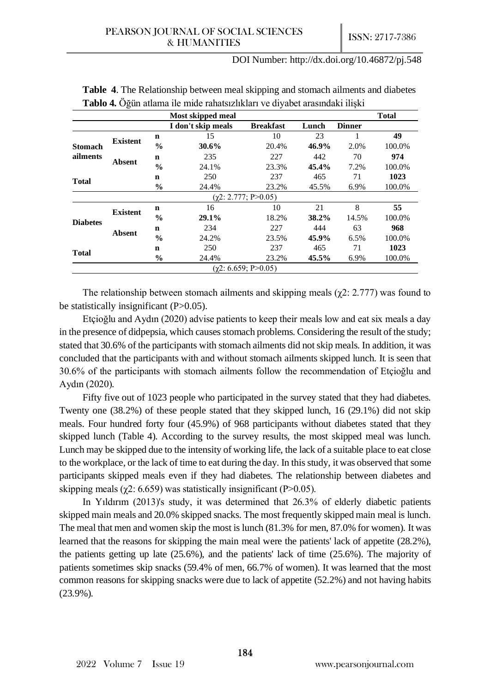|                 |                 |               | Most skipped meal  |                               |       |               | <b>Total</b> |
|-----------------|-----------------|---------------|--------------------|-------------------------------|-------|---------------|--------------|
|                 |                 |               | I don't skip meals | <b>Breakfast</b>              | Lunch | <b>Dinner</b> |              |
|                 | <b>Existent</b> | n             | 15                 | 10                            | 23    |               | 49           |
| Stomach         |                 | $\frac{0}{0}$ | 30.6%              | 20.4%                         | 46.9% | 2.0%          | 100.0%       |
| ailments        |                 | n             | 235                | 227                           | 442   | 70            | 974          |
|                 | Absent          | $\frac{0}{0}$ | 24.1%              | 23.3%                         | 45.4% | 7.2%          | 100.0%       |
| <b>Total</b>    |                 | n             | 250                | 237                           | 465   | 71            | 1023         |
|                 |                 | $\frac{6}{9}$ | 24.4%              | 23.2%                         | 45.5% | 6.9%          | 100.0%       |
|                 |                 |               |                    | $(\gamma 2: 2.777; P > 0.05)$ |       |               |              |
|                 | <b>Existent</b> | n             | 16                 | 10                            | 21    | 8             | 55           |
|                 |                 | $\frac{6}{9}$ | 29.1%              | 18.2%                         | 38.2% | 14.5%         | 100.0%       |
| <b>Diabetes</b> | <b>Absent</b>   | n             | 234                | 227                           | 444   | 63            | 968          |
|                 |                 | $\frac{6}{9}$ | 24.2%              | 23.5%                         | 45.9% | 6.5%          | 100.0%       |
| <b>Total</b>    |                 | n             | 250                | 237                           | 465   | 71            | 1023         |
|                 |                 | $\frac{6}{9}$ | 24.4%              | 23.2%                         | 45.5% | 6.9%          | 100.0%       |
|                 |                 |               |                    | $(\gamma 2: 6.659; P>0.05)$   |       |               |              |

**Table 4**. The Relationship between meal skipping and stomach ailments and diabetes **Tablo 4.** Öğün atlama ile mide rahatsızlıkları ve diyabet arasındaki ilişki

The relationship between stomach ailments and skipping meals ( $\chi$ 2: 2.777) was found to be statistically insignificant (P>0.05).

Etçioğlu and Aydın (2020) advise patients to keep their meals low and eat six meals a day in the presence of didpepsia, which causes stomach problems. Considering the result of the study; stated that 30.6% of the participants with stomach ailments did not skip meals. In addition, it was concluded that the participants with and without stomach ailments skipped lunch. It is seen that 30.6% of the participants with stomach ailments follow the recommendation of Etçioğlu and Aydın (2020).

Fifty five out of 1023 people who participated in the survey stated that they had diabetes. Twenty one (38.2%) of these people stated that they skipped lunch, 16 (29.1%) did not skip meals. Four hundred forty four (45.9%) of 968 participants without diabetes stated that they skipped lunch (Table 4). According to the survey results, the most skipped meal was lunch. Lunch may be skipped due to the intensity of working life, the lack of a suitable place to eat close to the workplace, or the lack of time to eat during the day. In this study, it was observed that some participants skipped meals even if they had diabetes. The relationship between diabetes and skipping meals ( $\chi$ 2: 6.659) was statistically insignificant (P>0.05).

In Yıldırım (2013)'s study, it was determined that 26.3% of elderly diabetic patients skipped main meals and 20.0% skipped snacks. The most frequently skipped main meal is lunch. The meal that men and women skip the most is lunch (81.3% for men, 87.0% for women). It was learned that the reasons for skipping the main meal were the patients' lack of appetite (28.2%), the patients getting up late (25.6%), and the patients' lack of time (25.6%). The majority of patients sometimes skip snacks (59.4% of men, 66.7% of women). It was learned that the most common reasons for skipping snacks were due to lack of appetite (52.2%) and not having habits (23.9%).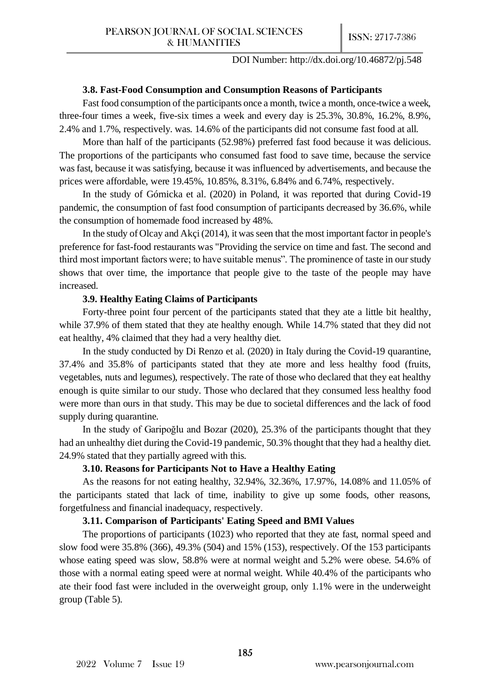#### **3.8. Fast-Food Consumption and Consumption Reasons of Participants**

Fast food consumption of the participants once a month, twice a month, once-twice a week, three-four times a week, five-six times a week and every day is 25.3%, 30.8%, 16.2%, 8.9%, 2.4% and 1.7%, respectively. was. 14.6% of the participants did not consume fast food at all.

More than half of the participants (52.98%) preferred fast food because it was delicious. The proportions of the participants who consumed fast food to save time, because the service was fast, because it was satisfying, because it was influenced by advertisements, and because the prices were affordable, were 19.45%, 10.85%, 8.31%, 6.84% and 6.74%, respectively.

In the study of Górnicka et al. (2020) in Poland, it was reported that during Covid-19 pandemic, the consumption of fast food consumption of participants decreased by 36.6%, while the consumption of homemade food increased by 48%.

In the study of Olcay and Akçi (2014), it was seen that the most important factor in people's preference for fast-food restaurants was "Providing the service on time and fast. The second and third most important factors were; to have suitable menus". The prominence of taste in our study shows that over time, the importance that people give to the taste of the people may have increased.

#### **3.9. Healthy Eating Claims of Participants**

Forty-three point four percent of the participants stated that they ate a little bit healthy, while 37.9% of them stated that they ate healthy enough. While 14.7% stated that they did not eat healthy, 4% claimed that they had a very healthy diet.

In the study conducted by Di Renzo et al. (2020) in Italy during the Covid-19 quarantine, 37.4% and 35.8% of participants stated that they ate more and less healthy food (fruits, vegetables, nuts and legumes), respectively. The rate of those who declared that they eat healthy enough is quite similar to our study. Those who declared that they consumed less healthy food were more than ours in that study. This may be due to societal differences and the lack of food supply during quarantine.

In the study of Garipoğlu and Bozar (2020), 25.3% of the participants thought that they had an unhealthy diet during the Covid-19 pandemic, 50.3% thought that they had a healthy diet. 24.9% stated that they partially agreed with this.

#### **3.10. Reasons for Participants Not to Have a Healthy Eating**

As the reasons for not eating healthy, 32.94%, 32.36%, 17.97%, 14.08% and 11.05% of the participants stated that lack of time, inability to give up some foods, other reasons, forgetfulness and financial inadequacy, respectively.

## **3.11. Comparison of Participants' Eating Speed and BMI Values**

The proportions of participants (1023) who reported that they ate fast, normal speed and slow food were 35.8% (366), 49.3% (504) and 15% (153), respectively. Of the 153 participants whose eating speed was slow, 58.8% were at normal weight and 5.2% were obese. 54.6% of those with a normal eating speed were at normal weight. While 40.4% of the participants who ate their food fast were included in the overweight group, only 1.1% were in the underweight group (Table 5).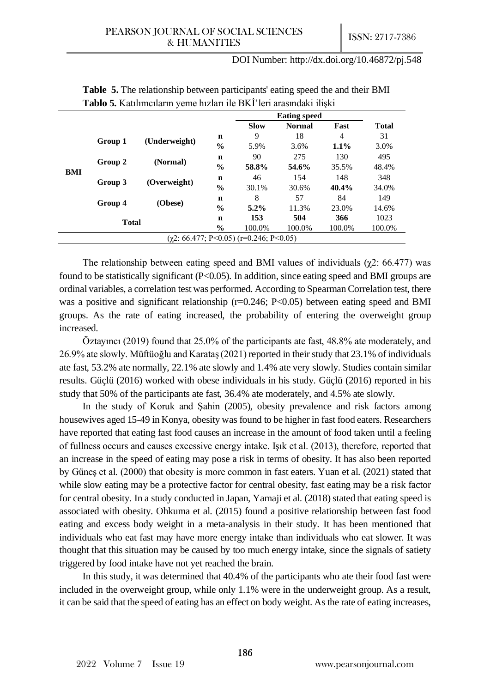|                                                |         |               |               | <b>Eating speed</b> |               |         |              |
|------------------------------------------------|---------|---------------|---------------|---------------------|---------------|---------|--------------|
|                                                |         |               |               | <b>Slow</b>         | <b>Normal</b> | Fast    | <b>Total</b> |
| Group 1<br>Group 2<br>BMI<br>Group 4           |         |               | $\mathbf n$   | 9                   | 18            | 4       | 31           |
|                                                |         | (Underweight) | $\frac{6}{6}$ | 5.9%                | 3.6%          | $1.1\%$ | 3.0%         |
|                                                |         |               | n             | 90                  | 275           | 130     | 495          |
|                                                |         | (Normal)      | $\frac{6}{9}$ | 58.8%               | 54.6%         | 35.5%   | 48.4%        |
|                                                | Group 3 | (Overweight)  | $\mathbf n$   | 46                  | 154           | 148     | 348          |
|                                                |         |               | $\%$          | 30.1%               | 30.6%         | 40.4%   | 34.0%        |
|                                                |         |               | n             | 8                   | 57            | 84      | 149          |
|                                                |         | (Obese)       | $\%$          | $5.2\%$             | 11.3%         | 23.0%   | 14.6%        |
| <b>Total</b>                                   |         | $\mathbf n$   | 153           | 504                 | 366           | 1023    |              |
|                                                |         |               | $\frac{6}{9}$ | 100.0%              | 100.0%        | 100.0%  | 100.0%       |
| $(\gamma 2: 66.477; P<0.05)$ (r=0.246; P<0.05) |         |               |               |                     |               |         |              |

**Table 5.** The relationship between participants' eating speed the and their BMI **Tablo 5.** Katılımcıların yeme hızları ile BKİ'leri arasındaki ilişki

The relationship between eating speed and BMI values of individuals ( $\chi$ 2: 66.477) was found to be statistically significant (P<0.05). In addition, since eating speed and BMI groups are ordinal variables, a correlation test was performed. According to Spearman Correlation test, there was a positive and significant relationship (r=0.246; P<0.05) between eating speed and BMI groups. As the rate of eating increased, the probability of entering the overweight group increased.

Öztayıncı (2019) found that 25.0% of the participants ate fast, 48.8% ate moderately, and 26.9% ate slowly. Müftüoğlu and Karataş (2021) reported in their study that 23.1% of individuals ate fast, 53.2% ate normally, 22.1% ate slowly and 1.4% ate very slowly. Studies contain similar results. Güçlü (2016) worked with obese individuals in his study. Güçlü (2016) reported in his study that 50% of the participants ate fast, 36.4% ate moderately, and 4.5% ate slowly.

In the study of Koruk and Şahin (2005), obesity prevalence and risk factors among housewives aged 15-49 in Konya, obesity was found to be higher in fast food eaters. Researchers have reported that eating fast food causes an increase in the amount of food taken until a feeling of fullness occurs and causes excessive energy intake. Işık et al. (2013), therefore, reported that an increase in the speed of eating may pose a risk in terms of obesity. It has also been reported by Güneş et al. (2000) that obesity is more common in fast eaters. Yuan et al. (2021) stated that while slow eating may be a protective factor for central obesity, fast eating may be a risk factor for central obesity. In a study conducted in Japan, Yamaji et al. (2018) stated that eating speed is associated with obesity. Ohkuma et al. (2015) found a positive relationship between fast food eating and excess body weight in a meta-analysis in their study. It has been mentioned that individuals who eat fast may have more energy intake than individuals who eat slower. It was thought that this situation may be caused by too much energy intake, since the signals of satiety triggered by food intake have not yet reached the brain.

In this study, it was determined that 40.4% of the participants who ate their food fast were included in the overweight group, while only 1.1% were in the underweight group. As a result, it can be said that the speed of eating has an effect on body weight. As the rate of eating increases,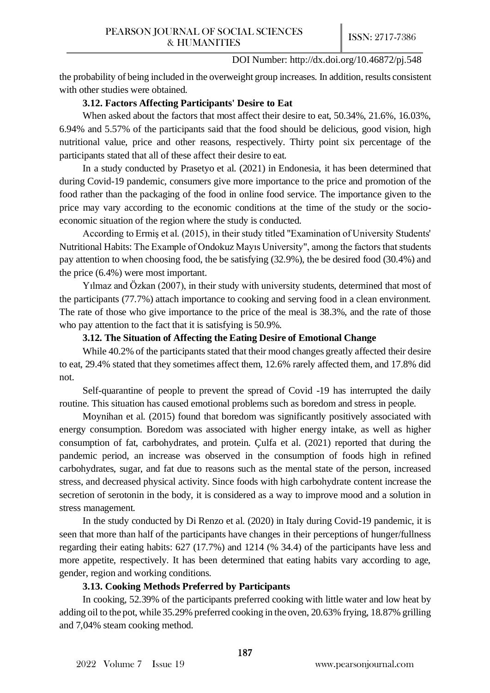the probability of being included in the overweight group increases. In addition, results consistent with other studies were obtained.

## **3.12. Factors Affecting Participants' Desire to Eat**

When asked about the factors that most affect their desire to eat, 50.34%, 21.6%, 16.03%, 6.94% and 5.57% of the participants said that the food should be delicious, good vision, high nutritional value, price and other reasons, respectively. Thirty point six percentage of the participants stated that all of these affect their desire to eat.

In a study conducted by Prasetyo et al. (2021) in Endonesia, it has been determined that during Covid-19 pandemic, consumers give more importance to the price and promotion of the food rather than the packaging of the food in online food service. The importance given to the price may vary according to the economic conditions at the time of the study or the socioeconomic situation of the region where the study is conducted.

According to Ermiş et al. (2015), in their study titled "Examination of University Students' Nutritional Habits: The Example of Ondokuz Mayıs University", among the factors that students pay attention to when choosing food, the be satisfying (32.9%), the be desired food (30.4%) and the price (6.4%) were most important.

Yılmaz and Özkan (2007), in their study with university students, determined that most of the participants (77.7%) attach importance to cooking and serving food in a clean environment. The rate of those who give importance to the price of the meal is 38.3%, and the rate of those who pay attention to the fact that it is satisfying is 50.9%.

## **3.12. The Situation of Affecting the Eating Desire of Emotional Change**

While 40.2% of the participants stated that their mood changes greatly affected their desire to eat, 29.4% stated that they sometimes affect them, 12.6% rarely affected them, and 17.8% did not.

Self-quarantine of people to prevent the spread of Covid -19 has interrupted the daily routine. This situation has caused emotional problems such as boredom and stress in people.

Moynihan et al. (2015) found that boredom was significantly positively associated with energy consumption. Boredom was associated with higher energy intake, as well as higher consumption of fat, carbohydrates, and protein. Çulfa et al. (2021) reported that during the pandemic period, an increase was observed in the consumption of foods high in refined carbohydrates, sugar, and fat due to reasons such as the mental state of the person, increased stress, and decreased physical activity. Since foods with high carbohydrate content increase the secretion of serotonin in the body, it is considered as a way to improve mood and a solution in stress management.

In the study conducted by Di Renzo et al. (2020) in Italy during Covid-19 pandemic, it is seen that more than half of the participants have changes in their perceptions of hunger/fullness regarding their eating habits: 627 (17.7%) and 1214 (% 34.4) of the participants have less and more appetite, respectively. It has been determined that eating habits vary according to age, gender, region and working conditions.

# **3.13. Cooking Methods Preferred by Participants**

In cooking, 52.39% of the participants preferred cooking with little water and low heat by adding oil to the pot, while 35.29% preferred cooking in the oven, 20.63% frying, 18.87% grilling and 7,04% steam cooking method.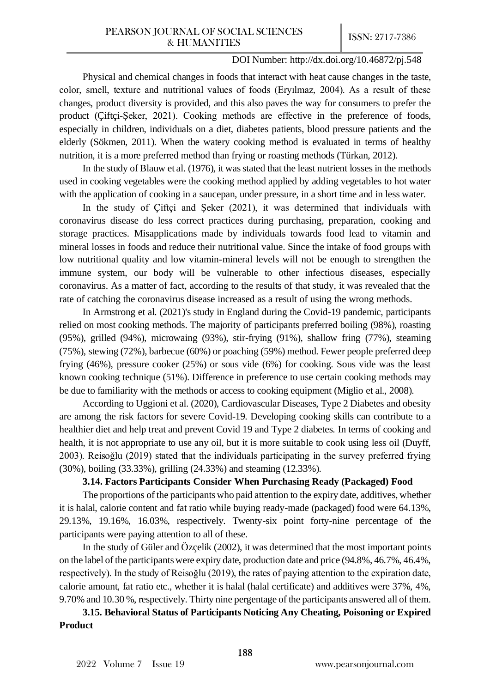Physical and chemical changes in foods that interact with heat cause changes in the taste, color, smell, texture and nutritional values of foods (Eryılmaz, 2004). As a result of these changes, product diversity is provided, and this also paves the way for consumers to prefer the product (Çiftçi-Şeker, 2021). Cooking methods are effective in the preference of foods, especially in children, individuals on a diet, diabetes patients, blood pressure patients and the elderly (Sökmen, 2011). When the watery cooking method is evaluated in terms of healthy nutrition, it is a more preferred method than frying or roasting methods (Türkan, 2012).

In the study of Blauw et al. (1976), it was stated that the least nutrient losses in the methods used in cooking vegetables were the cooking method applied by adding vegetables to hot water with the application of cooking in a saucepan, under pressure, in a short time and in less water.

In the study of Çiftçi and Şeker (2021), it was determined that individuals with coronavirus disease do less correct practices during purchasing, preparation, cooking and storage practices. Misapplications made by individuals towards food lead to vitamin and mineral losses in foods and reduce their nutritional value. Since the intake of food groups with low nutritional quality and low vitamin-mineral levels will not be enough to strengthen the immune system, our body will be vulnerable to other infectious diseases, especially coronavirus. As a matter of fact, according to the results of that study, it was revealed that the rate of catching the coronavirus disease increased as a result of using the wrong methods.

In Armstrong et al. (2021)'s study in England during the Covid-19 pandemic, participants relied on most cooking methods. The majority of participants preferred boiling (98%), roasting (95%), grilled (94%), microwaing (93%), stir-frying (91%), shallow fring (77%), steaming (75%), stewing (72%), barbecue (60%) or poaching (59%) method. Fewer people preferred deep frying (46%), pressure cooker (25%) or sous vide (6%) for cooking. Sous vide was the least known cooking technique (51%). Difference in preference to use certain cooking methods may be due to familiarity with the methods or access to cooking equipment (Miglio et al., 2008).

According to Uggioni et al. (2020), Cardiovascular Diseases, Type 2 Diabetes and obesity are among the risk factors for severe Covid-19. Developing cooking skills can contribute to a healthier diet and help treat and prevent Covid 19 and Type 2 diabetes. In terms of cooking and health, it is not appropriate to use any oil, but it is more suitable to cook using less oil (Duyff, 2003). Reisoğlu (2019) stated that the individuals participating in the survey preferred frying (30%), boiling (33.33%), grilling (24.33%) and steaming (12.33%).

## **3.14. Factors Participants Consider When Purchasing Ready (Packaged) Food**

The proportions of the participants who paid attention to the expiry date, additives, whether it is halal, calorie content and fat ratio while buying ready-made (packaged) food were 64.13%, 29.13%, 19.16%, 16.03%, respectively. Twenty-six point forty-nine percentage of the participants were paying attention to all of these.

In the study of Güler and Özçelik (2002), it was determined that the most important points on the label of the participants were expiry date, production date and price (94.8%, 46.7%, 46.4%, respectively). In the study of Reisoğlu (2019), the rates of paying attention to the expiration date, calorie amount, fat ratio etc., whether it is halal (halal certificate) and additives were 37%, 4%, 9.70% and 10.30 %, respectively. Thirty nine pergentage of the participants answered all of them.

**3.15. Behavioral Status of Participants Noticing Any Cheating, Poisoning or Expired Product**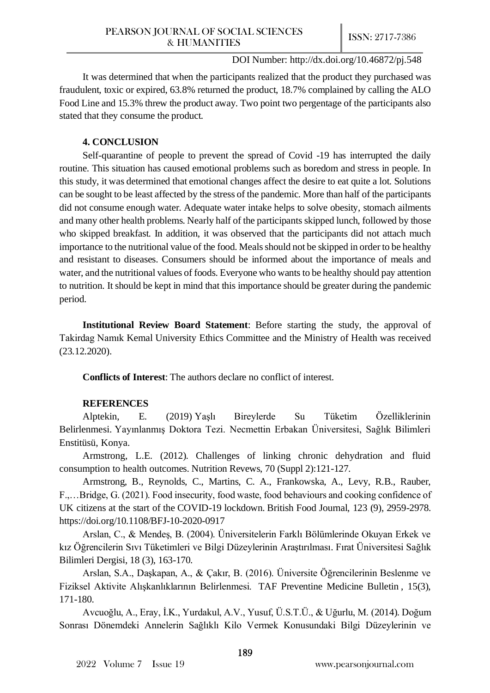It was determined that when the participants realized that the product they purchased was fraudulent, toxic or expired, 63.8% returned the product, 18.7% complained by calling the ALO Food Line and 15.3% threw the product away. Two point two pergentage of the participants also stated that they consume the product.

# **4. CONCLUSION**

Self-quarantine of people to prevent the spread of Covid -19 has interrupted the daily routine. This situation has caused emotional problems such as boredom and stress in people. In this study, it was determined that emotional changes affect the desire to eat quite a lot. Solutions can be sought to be least affected by the stress of the pandemic. More than half of the participants did not consume enough water. Adequate water intake helps to solve obesity, stomach ailments and many other health problems. Nearly half of the participants skipped lunch, followed by those who skipped breakfast. In addition, it was observed that the participants did not attach much importance to the nutritional value of the food. Meals should not be skipped in order to be healthy and resistant to diseases. Consumers should be informed about the importance of meals and water, and the nutritional values of foods. Everyone who wants to be healthy should pay attention to nutrition. It should be kept in mind that this importance should be greater during the pandemic period.

**Institutional Review Board Statement**: Before starting the study, the approval of Takirdag Namık Kemal University Ethics Committee and the Ministry of Health was received (23.12.2020).

**Conflicts of Interest**: The authors declare no conflict of interest.

# **REFERENCES**

Alptekin, E. (2019) Yaşlı Bireylerde Su Tüketim Özelliklerinin Belirlenmesi. Yayınlanmış Doktora Tezi. Necmettin Erbakan Üniversitesi, Sağlık Bilimleri Enstitüsü, Konya.

Armstrong, L.E. (2012). Challenges of linking chronic dehydration and fluid consumption to health outcomes. Nutrition Revews, 70 (Suppl 2):121-127.

Armstrong, B., Reynolds, C., Martins, C. A., Frankowska, A., Levy, R.B., Rauber, F.,…Bridge, G. (2021). Food insecurity, food waste, food behaviours and cooking confidence of UK citizens at the start of the COVID-19 lockdown. British Food Journal, 123 (9), 2959-2978. <https://doi.org/10.1108/BFJ-10-2020-0917>

Arslan, C., & Mendeş, B. (2004). Üniversitelerin Farklı Bölümlerinde Okuyan Erkek ve kız Öğrencilerin Sıvı Tüketimleri ve Bilgi Düzeylerinin Araştırılması. Fırat Üniversitesi Sağlık Bilimleri Dergisi, 18 (3), 163-170.

Arslan, S.A., Daşkapan, A., & Çakır, B. (2016). Üniversite Öğrencilerinin Beslenme ve Fiziksel Aktivite Alışkanlıklarının Belirlenmesi. TAF Preventine Medicine Bulletin , 15(3), 171-180.

Avcuoğlu, A., Eray, İ.K., Yurdakul, A.V., Yusuf, Ü.S.T.Ü., & Uğurlu, M. (2014). Doğum Sonrası Dönemdeki Annelerin Sağlıklı Kilo Vermek Konusundaki Bilgi Düzeylerinin ve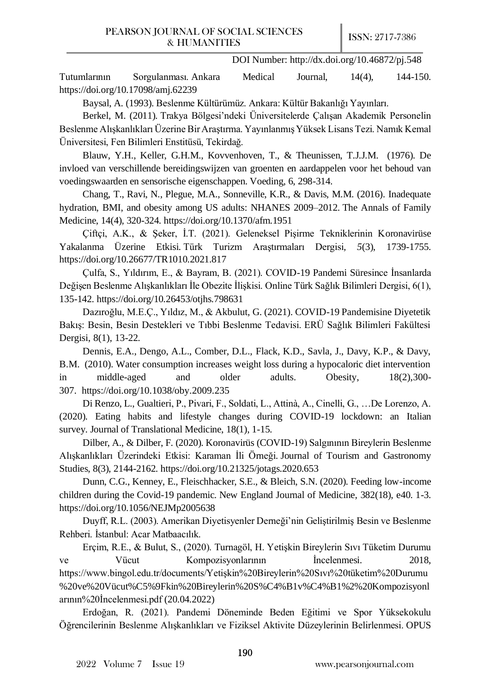Tutumlarının Sorgulanması. Ankara Medical Journal, 14(4), 144-150. <https://doi.org/10.17098/amj.62239>

Baysal, A. (1993). Beslenme Kültürümüz. Ankara: Kültür Bakanlığı Yayınları.

Berkel, M. (2011). Trakya Bölgesi'ndeki Üniversitelerde Çalışan Akademik Personelin Beslenme Alışkanlıkları Üzerine Bir Araştırma. Yayınlanmış Yüksek Lisans Tezi. Namık Kemal Üniversitesi, Fen Bilimleri Enstitüsü, Tekirdağ.

Blauw, Y.H., Keller, G.H.M., Kovvenhoven, T., & [Theunissen, T.J.J.M.](https://library.wur.nl/WebQuery/wurpubs?q=Theunissen) (1976). De invloed van verschillende bereidingswijzen van groenten en aardappelen voor het behoud van voedingswaarden en sensorische eigenschappen. Voeding, 6, 298-314.

Chang, T., Ravi, N., Plegue, M.A., Sonneville, K.R., & Davis, M.M. (2016). Inadequate hydration, BMI, and obesity among US adults: NHANES 2009–2012. The Annals of Family Medicine, 14(4), 320-324[. https://doi.org/10.1370/afm.1951](https://doi.org/10.1370/afm.1951)

Çiftçi, A.K., & Şeker, İ.T. (2021). Geleneksel Pişirme Tekniklerinin Koronavirüse Yakalanma Üzerine Etkisi. Türk Turizm Araştırmaları Dergisi*, 5*(3), 1739-1755. <https://doi.org/10.26677/TR1010.2021.817>

Çulfa, S., Yıldırım, E., & Bayram, B. (2021). COVID-19 Pandemi Süresince İnsanlarda Değişen Beslenme Alışkanlıkları İle Obezite İlişkisi. Online Türk Sağlık Bilimleri Dergisi, 6(1), 135-142. <https://doi.org/10.26453/otjhs.798631>

Dazıroğlu, M.E.Ç., Yıldız, M., & Akbulut, G. (2021). COVID-19 Pandemisine Diyetetik Bakış: Besin, Besin Destekleri ve Tıbbi Beslenme Tedavisi. ERÜ Sağlık Bilimleri Fakültesi Dergisi, 8(1), 13-22.

Dennis, E.A., Dengo, A.L., Comber, D.L., Flack, K.D., Savla, J., Davy, K.P., & Davy, B.M. (2010). Water consumption increases weight loss during a hypocaloric diet intervention in middle-aged and older adults. Obesity, 18(2),300- 307. <https://doi.org/10.1038/oby.2009.235>

Di Renzo, L., Gualtieri, P., Pivari, F., Soldati, L., Attinà, A., Cinelli, G., …De Lorenzo, A. (2020). Eating habits and lifestyle changes during COVID-19 lockdown: an Italian survey. Journal of Translational Medicine, 18(1), 1-15.

Dilber, A., & Dilber, F. (2020). Koronavirüs (COVID-19) Salgınının Bireylerin Beslenme Alışkanlıkları Üzerindeki Etkisi: Karaman İli Örneği. Journal of Tourism and Gastronomy Studies, 8(3), 2144-2162[. https://doi.org/10.21325/jotags.2020.653](https://doi.org/10.21325/jotags.2020.653)

Dunn, C.G., Kenney, E., Fleischhacker, S.E., & Bleich, S.N. (2020). Feeding low-income children during the Covid-19 pandemic. New England Journal of Medicine, 382(18), e40. 1-3. <https://doi.org/10.1056/NEJMp2005638>

Duyff, R.L. (2003). Amerikan Diyetisyenler Derneği'nin Geliştirilmiş Besin ve Beslenme Rehberi. İstanbul: Acar Matbaacılık.

Erçim, R.E., & Bulut, S., (2020). Turnagöl, H. Yetişkin Bireylerin Sıvı Tüketim Durumu ve Vücut Kompozisyonlarının İncelenmesi. 2018, [https://www.bingol.edu.tr/documents/Yetişkin%20Bireylerin%20Sıvı%20tüketim%20Durumu](https://www.bingol.edu.tr/documents/Yetişkin%20Bireylerin%20Sıvı%20tüketim%20Durumu%20ve%20Vücut%C5%9Fkin%20Bireylerin%20S%C4%B1v%C4%B1%252%20Kompozisyonlarının%20İncelenmesi.pdf) [%20ve%20Vücut%C5%9Fkin%20Bireylerin%20S%C4%B1v%C4%B1%2%20Kompozisyonl](https://www.bingol.edu.tr/documents/Yetişkin%20Bireylerin%20Sıvı%20tüketim%20Durumu%20ve%20Vücut%C5%9Fkin%20Bireylerin%20S%C4%B1v%C4%B1%252%20Kompozisyonlarının%20İncelenmesi.pdf) [arının%20İncelenmesi.pdf](https://www.bingol.edu.tr/documents/Yetişkin%20Bireylerin%20Sıvı%20tüketim%20Durumu%20ve%20Vücut%C5%9Fkin%20Bireylerin%20S%C4%B1v%C4%B1%252%20Kompozisyonlarının%20İncelenmesi.pdf) (20.04.2022)

Erdoğan, R. (2021). Pandemi Döneminde Beden Eğitimi ve Spor Yüksekokulu Öğrencilerinin Beslenme Alışkanlıkları ve Fiziksel Aktivite Düzeylerinin Belirlenmesi. OPUS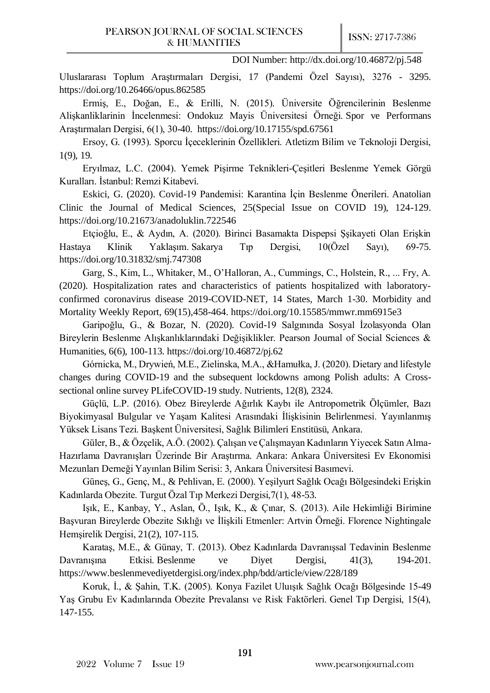Uluslararası Toplum Araştırmaları Dergisi, 17 (Pandemi Özel Sayısı), 3276 - 3295. <https://doi.org/10.26466/opus.862585>

Ermiş, E., Doğan, E., & Erilli, N. (2015). Üniversite Öğrencilerinin Beslenme Alişkanliklarinin İncelenmesi: Ondokuz Mayis Üniversitesi Örneği. Spor ve Performans Araştırmaları Dergisi, 6(1), 30-40. <https://doi.org/10.17155/spd.67561>

Ersoy, G. (1993). Sporcu İçeceklerinin Özellikleri. Atletizm Bilim ve Teknoloji Dergisi, 1(9), 19.

Eryılmaz, L.C. (2004). Yemek Pişirme Teknikleri-Çeşitleri Beslenme Yemek Görgü Kuralları. İstanbul: Remzi Kitabevi.

Eskici, G. (2020). Covid-19 Pandemisi: Karantina İçin Beslenme Önerileri. Anatolian Clinic the Journal of Medical Sciences, 25(Special Issue on COVID 19), 124-129. <https://doi.org/10.21673/anadoluklin.722546>

Etçioğlu, E., & Aydın, A. (2020). Birinci Basamakta Dispepsi Şşikayeti Olan Erişkin Hastaya Klinik Yaklaşım. Sakarya Tıp Dergisi, 10(Özel Sayı), 69-75. <https://doi.org/10.31832/smj.747308>

Garg, S., Kim, L., Whitaker, M., O'Halloran, A., Cummings, C., Holstein, R., ... Fry, A. (2020). Hospitalization rates and characteristics of patients hospitalized with laboratoryconfirmed coronavirus disease 2019-COVID-NET, 14 States, March 1-30. [Morbidity and](https://www.cdc.gov/mmwr/index.html)  [Mortality Weekly Report,](https://www.cdc.gov/mmwr/index.html) 69(15),458-464.<https://doi.org/10.15585/mmwr.mm6915e3>

Garipoğlu, G., & Bozar, N. (2020). Covid-19 Salgınında Sosyal İzolasyonda Olan Bireylerin Beslenme Alışkanlıklarındaki Değişiklikler. Pearson Journal of Social Sciences & Humanities, 6(6), 100-113.<https://doi.org/10.46872/pj.62>

Górnicka, M., Drywień, M.E., Zielinska, M.A., &Hamułka, J. (2020). Dietary and lifestyle changes during COVID-19 and the subsequent lockdowns among Polish adults: A Crosssectional online survey PLifeCOVID-19 study. Nutrients, 12(8), 2324.

Güçlü, L.P. (2016). Obez Bireylerde Ağırlık Kaybı ile Antropometrik Ölçümler, Bazı Biyokimyasal Bulgular ve Yaşam Kalitesi Arasındaki İlişkisinin Belirlenmesi. Yayınlanmış Yüksek Lisans Tezi. Başkent Üniversitesi, Sağlık Bilimleri Enstitüsü, Ankara.

Güler, B., & Özçelik, A.Ö. (2002). Çalışan ve Çalışmayan Kadınların Yiyecek Satın Alma-Hazırlama Davranışları Üzerinde Bir Araştırma. Ankara: Ankara Üniversitesi Ev Ekonomisi Mezunları Derneği Yayınlan Bilim Serisi: 3, Ankara Üniversitesi Basımevi.

Güneş, G., Genç, M., & Pehlivan, E. (2000). Yeşilyurt Sağlık Ocağı Bölgesindeki Erişkin Kadınlarda Obezite. Turgut Özal Tıp Merkezi Dergisi,7(1), 48-53.

Işık, E., Kanbay, Y., Aslan, Ö., Işık, K., & Çınar, S. (2013). Aile Hekimliği Birimine Başvuran Bireylerde Obezite Sıklığı ve İlişkili Etmenler: Artvin Örneği. Florence Nightingale Hemşirelik Dergisi, 21(2), 107-115.

Karataş, M.E., & Günay, T. (2013). Obez Kadınlarda Davranışsal Tedavinin Beslenme Davranışına Etkisi. Beslenme ve Diyet Dergisi, 41(3), 194-201. <https://www.beslenmevediyetdergisi.org/index.php/bdd/article/view/228/189>

Koruk, İ., & Şahin, T.K. (2005). Konya Fazilet Uluışık Sağlık Ocağı Bölgesinde 15-49 Yaş Grubu Ev Kadınlarında Obezite Prevalansı ve Risk Faktörleri. Genel Tıp Dergisi, 15(4), 147-155.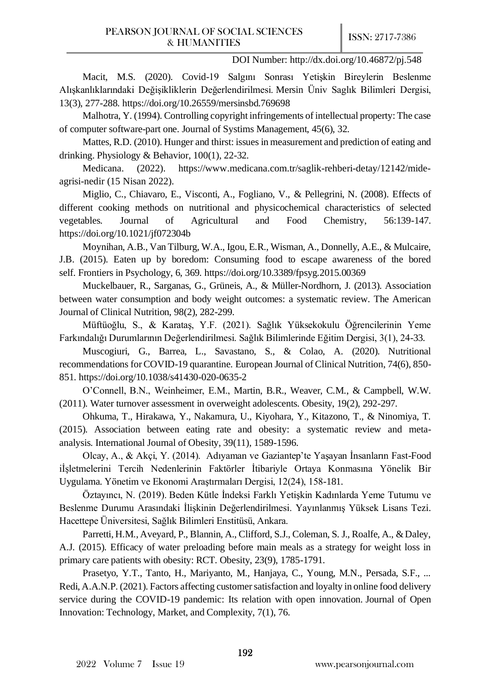Macit, M.S. (2020). Covid-19 Salgını Sonrası Yetişkin Bireylerin Beslenme Alışkanlıklarındaki Değişikliklerin Değerlendirilmesi. Mersin Üniv Saglık Bilimleri Dergisi, 13(3), 277-288. <https://doi.org/10.26559/mersinsbd.769698>

Malhotra, Y. (1994). Controlling copyright infringements of intellectual property: The case of computer software-part one. Journal of Systims Management, 45(6), 32.

Mattes, R.D. (2010). Hunger and thirst: issues in measurement and prediction of eating and drinking. Physiology & Behavior, 100(1), 22-32.

Medicana. (2022). [https://www.medicana.com.tr/saglik-rehberi-detay/12142/mide](https://www.medicana.com.tr/saglik-rehberi-detay/12142/mide-agrisi-nedir)[agrisi-nedir](https://www.medicana.com.tr/saglik-rehberi-detay/12142/mide-agrisi-nedir) (15 Nisan 2022).

Miglio, C., Chiavaro, E., Visconti, A., Fogliano, V., & Pellegrini, N. (2008). Effects of different cooking methods on nutritional and physicochemical characteristics of selected vegetables. Journal of Agricultural and Food Chemistry, 56:139-147. <https://doi.org/10.1021/jf072304b>

Moynihan, A.B., Van Tilburg, W.A., Igou, E.R., Wisman, A., Donnelly, A.E., & Mulcaire, J.B. (2015). Eaten up by boredom: Consuming food to escape awareness of the bored self. Frontiers in Psychology, 6, 369. <https://doi.org/10.3389/fpsyg.2015.00369>

Muckelbauer, R., Sarganas, G., Grüneis, A., & Müller-Nordhorn, J. (2013). Association between water consumption and body weight outcomes: a systematic review. The American Journal of Clinical Nutrition, 98(2), 282-299.

Müftüoğlu, S., & Karataş, Y.F. (2021). Sağlık Yüksekokulu Öğrencilerinin Yeme Farkındalığı Durumlarının Değerlendirilmesi. Sağlık Bilimlerinde Eğitim Dergisi, 3(1), 24-33.

Muscogiuri, G., Barrea, L., Savastano, S., & Colao, A. (2020). Nutritional recommendations for COVID-19 quarantine. European Journal of Clinical Nutrition, 74(6), 850- 851.<https://doi.org/10.1038/s41430-020-0635-2>

O'Connell, B.N., Weinheimer, E.M., Martin, B.R., Weaver, C.M., & Campbell, W.W. (2011). Water turnover assessment in overweight adolescents. Obesity, 19(2), 292-297.

Ohkuma, T., Hirakawa, Y., Nakamura, U., Kiyohara, Y., Kitazono, T., & Ninomiya, T. (2015). Association between eating rate and obesity: a systematic review and metaanalysis. International Journal of Obesity, 39(11), 1589-1596.

Olcay, A., & Akçi, Y. (2014). Adıyaman ve Gaziantep'te Yaşayan İnsanların Fast-Food iİşletmelerini Tercih Nedenlerinin Faktörler İtibariyle Ortaya Konmasına Yönelik Bir Uygulama. Yönetim ve Ekonomi Araştırmaları Dergisi, 12(24), 158-181.

Öztayıncı, N. (2019). Beden Kütle İndeksi Farklı Yetişkin Kadınlarda Yeme Tutumu ve Beslenme Durumu Arasındaki İlişkinin Değerlendirilmesi. Yayınlanmış Yüksek Lisans Tezi. Hacettepe Üniversitesi, Sağlık Bilimleri Enstitüsü, Ankara.

Parretti, H.M., Aveyard, P., Blannin, A., Clifford, S.J., Coleman, S. J., Roalfe, A., & Daley, A.J. (2015). Efficacy of water preloading before main meals as a strategy for weight loss in primary care patients with obesity: RCT. Obesity, 23(9), 1785-1791.

Prasetyo, Y.T., Tanto, H., Mariyanto, M., Hanjaya, C., Young, M.N., Persada, S.F., ... Redi, A.A.N.P. (2021). Factors affecting customer satisfaction and loyalty in online food delivery service during the COVID-19 pandemic: Its relation with open innovation. Journal of Open Innovation: Technology, Market, and Complexity, 7(1), 76.